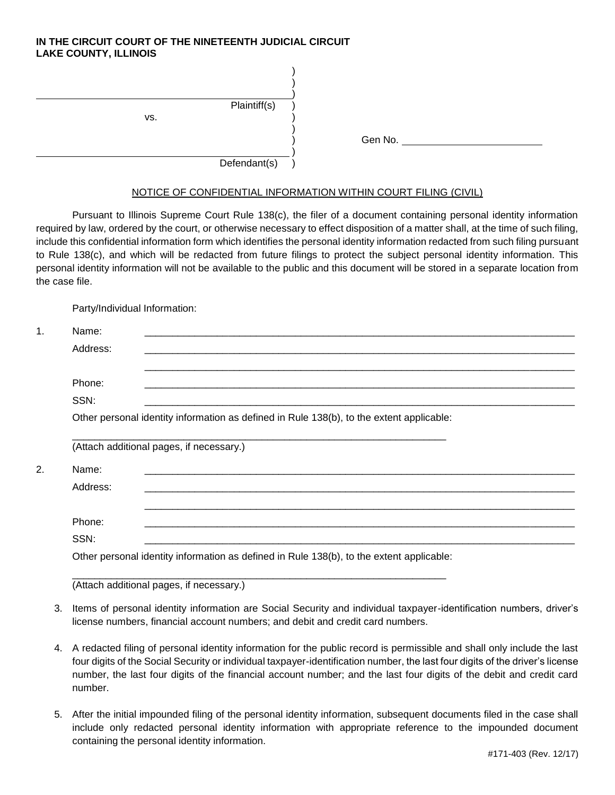## **IN THE CIRCUIT COURT OF THE NINETEENTH JUDICIAL CIRCUIT LAKE COUNTY, ILLINOIS**

| Plaintiff(s)<br>VS. |         |
|---------------------|---------|
| Defendant(s)        | Gen No. |

## NOTICE OF CONFIDENTIAL INFORMATION WITHIN COURT FILING (CIVIL)

Pursuant to Illinois Supreme Court Rule 138(c), the filer of a document containing personal identity information required by law, ordered by the court, or otherwise necessary to effect disposition of a matter shall, at the time of such filing, include this confidential information form which identifies the personal identity information redacted from such filing pursuant to Rule 138(c), and which will be redacted from future filings to protect the subject personal identity information. This personal identity information will not be available to the public and this document will be stored in a separate location from the case file.

Party/Individual Information:

| Name:    |                                                                                          |
|----------|------------------------------------------------------------------------------------------|
| Address: |                                                                                          |
| Phone:   |                                                                                          |
| SSN:     |                                                                                          |
|          | Other personal identity information as defined in Rule 138(b), to the extent applicable: |
|          |                                                                                          |
|          |                                                                                          |
|          | (Attach additional pages, if necessary.)                                                 |
| Name:    |                                                                                          |
| Address: |                                                                                          |
|          |                                                                                          |
| Phone:   |                                                                                          |
| SSN:     |                                                                                          |

(Attach additional pages, if necessary.)

- 3. Items of personal identity information are Social Security and individual taxpayer-identification numbers, driver's license numbers, financial account numbers; and debit and credit card numbers.
- 4. A redacted filing of personal identity information for the public record is permissible and shall only include the last four digits of the Social Security or individual taxpayer-identification number, the last four digits of the driver's license number, the last four digits of the financial account number; and the last four digits of the debit and credit card number.
- 5. After the initial impounded filing of the personal identity information, subsequent documents filed in the case shall include only redacted personal identity information with appropriate reference to the impounded document containing the personal identity information.